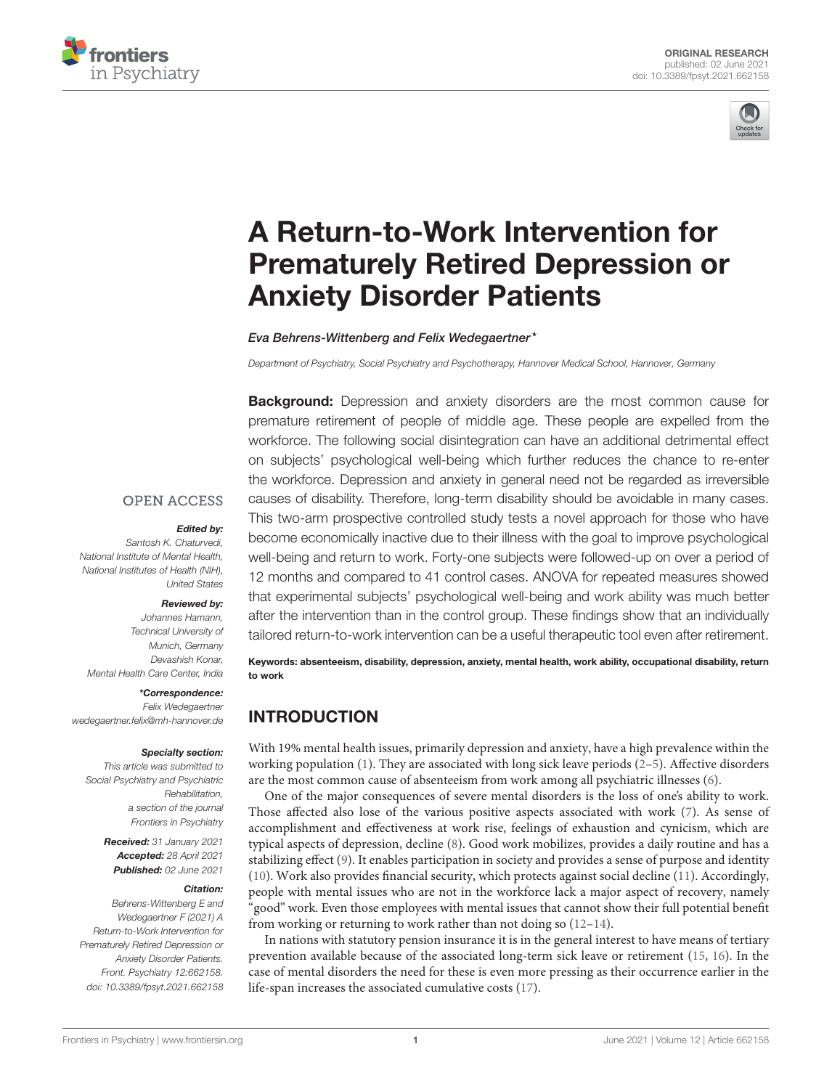



# A Return-to-Work Intervention for Prematurely Retired Depression or Anxiety Disorder Patients

Eva Behrens-Wittenberg and Felix Wedegaertner\*

*Department of Psychiatry, Social Psychiatry and Psychotherapy, Hannover Medical School, Hannover, Germany*

**Background:** Depression and anxiety disorders are the most common cause for premature retirement of people of middle age. These people are expelled from the workforce. The following social disintegration can have an additional detrimental effect on subjects' psychological well-being which further reduces the chance to re-enter the workforce. Depression and anxiety in general need not be regarded as irreversible causes of disability. Therefore, long-term disability should be avoidable in many cases. This two-arm prospective controlled study tests a novel approach for those who have become economically inactive due to their illness with the goal to improve psychological well-being and return to work. Forty-one subjects were followed-up on over a period of 12 months and compared to 41 control cases. ANOVA for repeated measures showed that experimental subjects' psychological well-being and work ability was much better after the intervention than in the control group. These findings show that an individually tailored return-to-work intervention can be a useful therapeutic tool even after retirement.

Keywords: absenteeism, disability, depression, anxiety, mental health, work ability, occupational disability, return to work

# INTRODUCTION

With 19% mental health issues, primarily depression and anxiety, have a high prevalence within the working population  $(1)$ . They are associated with long sick leave periods  $(2-5)$ . Affective disorders are the most common cause of absenteeism from work among all psychiatric illnesses (6).

One of the major consequences of severe mental disorders is the loss of one's ability to work. Those affected also lose of the various positive aspects associated with work (7). As sense of accomplishment and effectiveness at work rise, feelings of exhaustion and cynicism, which are typical aspects of depression, decline (8). Good work mobilizes, provides a daily routine and has a stabilizing effect (9). It enables participation in society and provides a sense of purpose and identity (10). Work also provides financial security, which protects against social decline (11). Accordingly, people with mental issues who are not in the workforce lack a major aspect of recovery, namely "good" work. Even those employees with mental issues that cannot show their full potential benefit from working or returning to work rather than not doing so (12–14).

In nations with statutory pension insurance it is in the general interest to have means of tertiary prevention available because of the associated long-term sick leave or retirement (15, 16). In the case of mental disorders the need for these is even more pressing as their occurrence earlier in the life-span increases the associated cumulative costs (17).

#### **OPEN ACCESS**

#### Edited by:

*Santosh K. Chaturvedi, National Institute of Mental Health, National Institutes of Health (NIH), United States*

#### Reviewed by:

*Johannes Hamann, Technical University of Munich, Germany Devashish Konar, Mental Health Care Center, India*

#### \*Correspondence:

*Felix Wedegaertner wedegaertner.felix@mh-hannover.de*

#### Specialty section:

*This article was submitted to Social Psychiatry and Psychiatric Rehabilitation, a section of the journal Frontiers in Psychiatry*

> Received: *31 January 2021* Accepted: *28 April 2021* Published: *02 June 2021*

#### Citation:

*Behrens-Wittenberg E and Wedegaertner F (2021) A Return-to-Work Intervention for Prematurely Retired Depression or Anxiety Disorder Patients. Front. Psychiatry 12:662158. doi: 10.3389/fpsyt.2021.662158*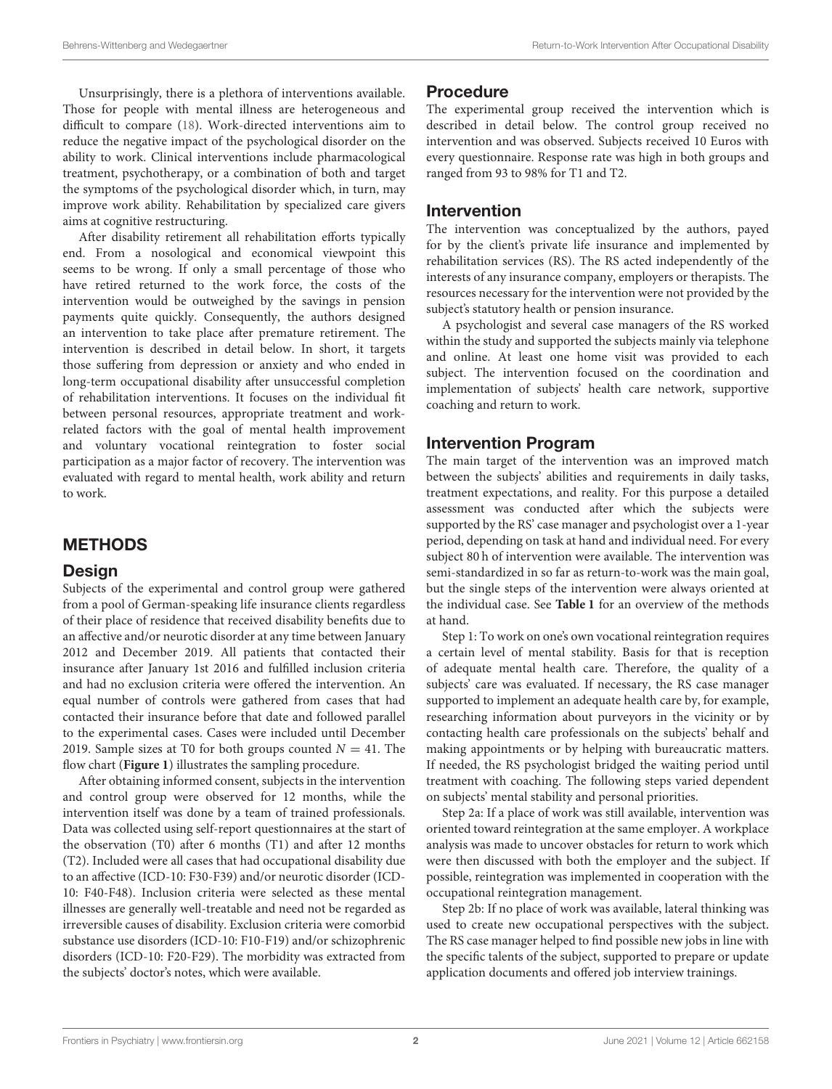Unsurprisingly, there is a plethora of interventions available. Those for people with mental illness are heterogeneous and difficult to compare (18). Work-directed interventions aim to reduce the negative impact of the psychological disorder on the ability to work. Clinical interventions include pharmacological treatment, psychotherapy, or a combination of both and target the symptoms of the psychological disorder which, in turn, may improve work ability. Rehabilitation by specialized care givers aims at cognitive restructuring.

After disability retirement all rehabilitation efforts typically end. From a nosological and economical viewpoint this seems to be wrong. If only a small percentage of those who have retired returned to the work force, the costs of the intervention would be outweighed by the savings in pension payments quite quickly. Consequently, the authors designed an intervention to take place after premature retirement. The intervention is described in detail below. In short, it targets those suffering from depression or anxiety and who ended in long-term occupational disability after unsuccessful completion of rehabilitation interventions. It focuses on the individual fit between personal resources, appropriate treatment and workrelated factors with the goal of mental health improvement and voluntary vocational reintegration to foster social participation as a major factor of recovery. The intervention was evaluated with regard to mental health, work ability and return to work.

# METHODS

### Design

Subjects of the experimental and control group were gathered from a pool of German-speaking life insurance clients regardless of their place of residence that received disability benefits due to an affective and/or neurotic disorder at any time between January 2012 and December 2019. All patients that contacted their insurance after January 1st 2016 and fulfilled inclusion criteria and had no exclusion criteria were offered the intervention. An equal number of controls were gathered from cases that had contacted their insurance before that date and followed parallel to the experimental cases. Cases were included until December 2019. Sample sizes at T0 for both groups counted  $N = 41$ . The flow chart (**Figure 1**) illustrates the sampling procedure.

After obtaining informed consent, subjects in the intervention and control group were observed for 12 months, while the intervention itself was done by a team of trained professionals. Data was collected using self-report questionnaires at the start of the observation (T0) after 6 months (T1) and after 12 months (T2). Included were all cases that had occupational disability due to an affective (ICD-10: F30-F39) and/or neurotic disorder (ICD-10: F40-F48). Inclusion criteria were selected as these mental illnesses are generally well-treatable and need not be regarded as irreversible causes of disability. Exclusion criteria were comorbid substance use disorders (ICD-10: F10-F19) and/or schizophrenic disorders (ICD-10: F20-F29). The morbidity was extracted from the subjects' doctor's notes, which were available.

# Procedure

The experimental group received the intervention which is described in detail below. The control group received no intervention and was observed. Subjects received 10 Euros with every questionnaire. Response rate was high in both groups and ranged from 93 to 98% for T1 and T2.

## Intervention

The intervention was conceptualized by the authors, payed for by the client's private life insurance and implemented by rehabilitation services (RS). The RS acted independently of the interests of any insurance company, employers or therapists. The resources necessary for the intervention were not provided by the subject's statutory health or pension insurance.

A psychologist and several case managers of the RS worked within the study and supported the subjects mainly via telephone and online. At least one home visit was provided to each subject. The intervention focused on the coordination and implementation of subjects' health care network, supportive coaching and return to work.

## Intervention Program

The main target of the intervention was an improved match between the subjects' abilities and requirements in daily tasks, treatment expectations, and reality. For this purpose a detailed assessment was conducted after which the subjects were supported by the RS' case manager and psychologist over a 1-year period, depending on task at hand and individual need. For every subject 80 h of intervention were available. The intervention was semi-standardized in so far as return-to-work was the main goal, but the single steps of the intervention were always oriented at the individual case. See **Table 1** for an overview of the methods at hand.

Step 1: To work on one's own vocational reintegration requires a certain level of mental stability. Basis for that is reception of adequate mental health care. Therefore, the quality of a subjects' care was evaluated. If necessary, the RS case manager supported to implement an adequate health care by, for example, researching information about purveyors in the vicinity or by contacting health care professionals on the subjects' behalf and making appointments or by helping with bureaucratic matters. If needed, the RS psychologist bridged the waiting period until treatment with coaching. The following steps varied dependent on subjects' mental stability and personal priorities.

Step 2a: If a place of work was still available, intervention was oriented toward reintegration at the same employer. A workplace analysis was made to uncover obstacles for return to work which were then discussed with both the employer and the subject. If possible, reintegration was implemented in cooperation with the occupational reintegration management.

Step 2b: If no place of work was available, lateral thinking was used to create new occupational perspectives with the subject. The RS case manager helped to find possible new jobs in line with the specific talents of the subject, supported to prepare or update application documents and offered job interview trainings.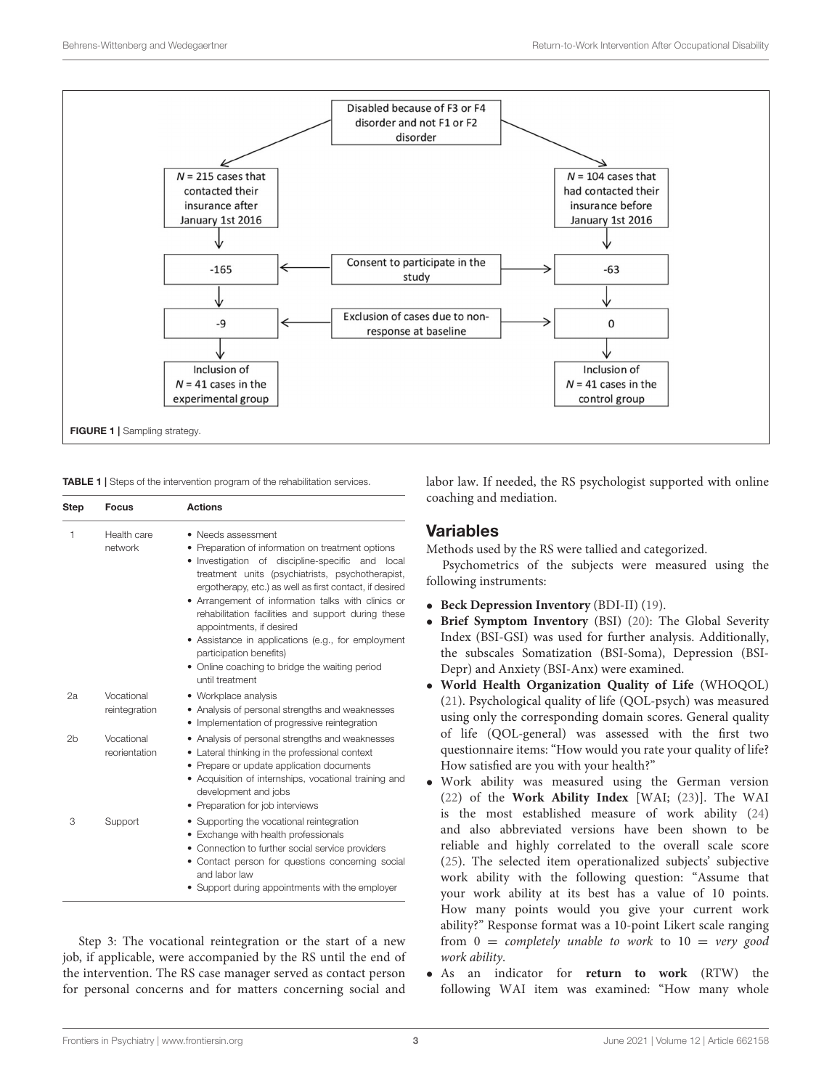

TABLE 1 | Steps of the intervention program of the rehabilitation services.

| <b>Step</b>    | <b>Focus</b>                | <b>Actions</b><br>• Needs assessment<br>• Preparation of information on treatment options<br>• Investigation of discipline-specific and<br>local<br>treatment units (psychiatrists, psychotherapist,<br>ergotherapy, etc.) as well as first contact, if desired<br>• Arrangement of information talks with clinics or<br>rehabilitation facilities and support during these<br>appointments, if desired<br>• Assistance in applications (e.g., for employment<br>participation benefits)<br>• Online coaching to bridge the waiting period<br>until treatment |  |  |  |  |
|----------------|-----------------------------|---------------------------------------------------------------------------------------------------------------------------------------------------------------------------------------------------------------------------------------------------------------------------------------------------------------------------------------------------------------------------------------------------------------------------------------------------------------------------------------------------------------------------------------------------------------|--|--|--|--|
| 1              | Health care<br>network      |                                                                                                                                                                                                                                                                                                                                                                                                                                                                                                                                                               |  |  |  |  |
| 2a             | Vocational<br>reintegration | • Workplace analysis<br>• Analysis of personal strengths and weaknesses<br>• Implementation of progressive reintegration                                                                                                                                                                                                                                                                                                                                                                                                                                      |  |  |  |  |
| 2 <sub>b</sub> | Vocational<br>reorientation | • Analysis of personal strengths and weaknesses<br>• Lateral thinking in the professional context<br>• Prepare or update application documents<br>• Acquisition of internships, vocational training and<br>development and jobs<br>• Preparation for job interviews                                                                                                                                                                                                                                                                                           |  |  |  |  |
| 3              | Support                     | • Supporting the vocational reintegration<br>• Exchange with health professionals<br>• Connection to further social service providers<br>• Contact person for questions concerning social<br>and labor law<br>• Support during appointments with the employer                                                                                                                                                                                                                                                                                                 |  |  |  |  |

Step 3: The vocational reintegration or the start of a new job, if applicable, were accompanied by the RS until the end of the intervention. The RS case manager served as contact person for personal concerns and for matters concerning social and labor law. If needed, the RS psychologist supported with online coaching and mediation.

## Variables

Methods used by the RS were tallied and categorized.

Psychometrics of the subjects were measured using the following instruments:

- **Beck Depression Inventory** (BDI-II) (19).
- **Brief Symptom Inventory** (BSI) (20): The Global Severity Index (BSI-GSI) was used for further analysis. Additionally, the subscales Somatization (BSI-Soma), Depression (BSI-Depr) and Anxiety (BSI-Anx) were examined.
- **World Health Organization Quality of Life** (WHOQOL) (21). Psychological quality of life (QOL-psych) was measured using only the corresponding domain scores. General quality of life (QOL-general) was assessed with the first two questionnaire items: "How would you rate your quality of life? How satisfied are you with your health?"
- Work ability was measured using the German version (22) of the **Work Ability Index** [WAI; (23)]. The WAI is the most established measure of work ability (24) and also abbreviated versions have been shown to be reliable and highly correlated to the overall scale score (25). The selected item operationalized subjects' subjective work ability with the following question: "Assume that your work ability at its best has a value of 10 points. How many points would you give your current work ability?" Response format was a 10-point Likert scale ranging from  $0 =$  completely unable to work to  $10 =$  very good work ability.
- As an indicator for **return to work** (RTW) the following WAI item was examined: "How many whole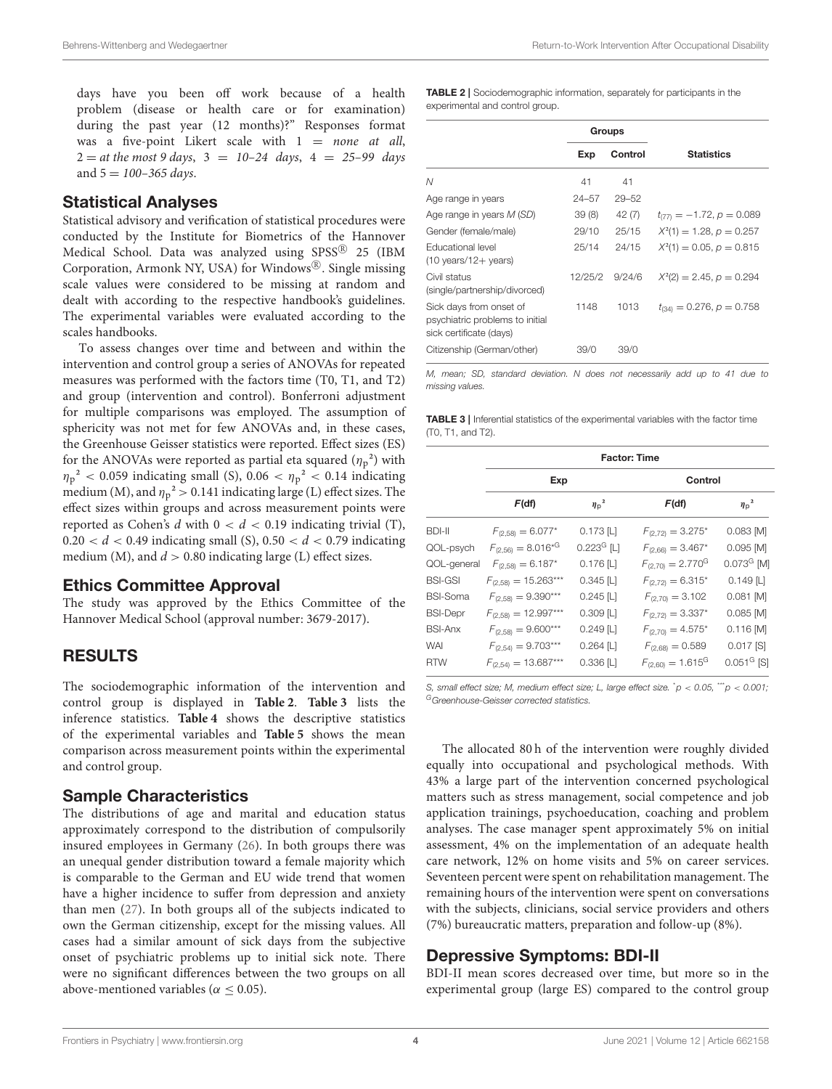days have you been off work because of a health problem (disease or health care or for examination) during the past year (12 months)?" Responses format was a five-point Likert scale with  $1 = none$  at all,  $2 = at$  the most 9 days,  $3 = 10-24$  days,  $4 = 25-99$  days and  $5 = 100 - 365$  days.

#### Statistical Analyses

Statistical advisory and verification of statistical procedures were conducted by the Institute for Biometrics of the Hannover Medical School. Data was analyzed using SPSS $^{\circledR}$  25 (IBM Corporation, Armonk NY, USA) for Windows®. Single missing scale values were considered to be missing at random and dealt with according to the respective handbook's guidelines. The experimental variables were evaluated according to the scales handbooks.

To assess changes over time and between and within the intervention and control group a series of ANOVAs for repeated measures was performed with the factors time (T0, T1, and T2) and group (intervention and control). Bonferroni adjustment for multiple comparisons was employed. The assumption of sphericity was not met for few ANOVAs and, in these cases, the Greenhouse Geisser statistics were reported. Effect sizes (ES) for the ANOVAs were reported as partial eta squared  $(\eta_p^2)$  with  $\eta_p^2$  < 0.059 indicating small (S), 0.06 <  $\eta_p^2$  < 0.14 indicating medium (M), and  $\eta_p^2 > 0.141$  indicating large (L) effect sizes. The effect sizes within groups and across measurement points were reported as Cohen's d with  $0 < d < 0.19$  indicating trivial (T),  $0.20 < d < 0.49$  indicating small (S),  $0.50 < d < 0.79$  indicating medium (M), and  $d > 0.80$  indicating large (L) effect sizes.

#### Ethics Committee Approval

The study was approved by the Ethics Committee of the Hannover Medical School (approval number: 3679-2017).

# RESULTS

The sociodemographic information of the intervention and control group is displayed in **Table 2**. **Table 3** lists the inference statistics. **Table 4** shows the descriptive statistics of the experimental variables and **Table 5** shows the mean comparison across measurement points within the experimental and control group.

#### Sample Characteristics

The distributions of age and marital and education status approximately correspond to the distribution of compulsorily insured employees in Germany (26). In both groups there was an unequal gender distribution toward a female majority which is comparable to the German and EU wide trend that women have a higher incidence to suffer from depression and anxiety than men (27). In both groups all of the subjects indicated to own the German citizenship, except for the missing values. All cases had a similar amount of sick days from the subjective onset of psychiatric problems up to initial sick note. There were no significant differences between the two groups on all above-mentioned variables ( $\alpha \leq 0.05$ ).

TABLE 2 | Sociodemographic information, separately for participants in the experimental and control group.

|                                                                                       | Groups  |           |                               |
|---------------------------------------------------------------------------------------|---------|-----------|-------------------------------|
|                                                                                       | Exp     | Control   | <b>Statistics</b>             |
| N                                                                                     | 41      | 41        |                               |
| Age range in years                                                                    | 24-57   | $29 - 52$ |                               |
| Age range in years M (SD)                                                             | 39(8)   | 42 (7)    | $t_{(77)} = -1.72, p = 0.089$ |
| Gender (female/male)                                                                  | 29/10   | 25/15     | $X^2(1) = 1.28, p = 0.257$    |
| <b>Educational level</b><br>$(10 \text{ years}/12 + \text{years})$                    | 25/14   | 24/15     | $X^2(1) = 0.05, p = 0.815$    |
| Civil status<br>(single/partnership/divorced)                                         | 12/25/2 | 9/24/6    | $X^2(2) = 2.45, p = 0.294$    |
| Sick days from onset of<br>psychiatric problems to initial<br>sick certificate (days) | 1148    | 1013      | $t_{(34)} = 0.276, p = 0.758$ |
| Citizenship (German/other)                                                            | 39/0    | 39/0      |                               |

*M, mean; SD, standard deviation. N does not necessarily add up to 41 due to missing values.*

TABLE 3 | Inferential statistics of the experimental variables with the factor time (T0, T1, and T2).

|                 | <b>Factor: Time</b>       |                          |                                   |                          |  |  |
|-----------------|---------------------------|--------------------------|-----------------------------------|--------------------------|--|--|
|                 | Exp                       |                          | Control                           |                          |  |  |
|                 | F(df)                     | $\eta_{\rm p}^2$         | F(df)                             | $\eta_{\rm p}^2$         |  |  |
| <b>BDI-II</b>   | $F_{(2.58)} = 6.077*$     | $0.173$ [L]              | $F_{(2,72)} = 3.275*$             | $0.083$ [M]              |  |  |
| QOL-psych       | $F_{(2,56)} = 8.016*^{G}$ | $0.223$ <sup>G</sup> [L] | $F_{(2,66)} = 3.467*$             | $0.095$ [M]              |  |  |
| QOL-general     | $F_{(2,58)} = 6.187*$     | $0.176$ [L]              | $F_{(2,70)} = 2.770$ <sup>G</sup> | $0.073G$ [M]             |  |  |
| <b>BSI-GSI</b>  | $F_{(2,58)} = 15.263***$  | $0.345$ [L]              | $F_{(2,72)} = 6.315*$             | $0.149$ [L]              |  |  |
| <b>BSI-Soma</b> | $F_{(2.58)} = 9.390***$   | $0.245$ [L]              | $F_{(2,70)} = 3.102$              | $0.081$ [M]              |  |  |
| <b>BSI-Depr</b> | $F_{(2,58)} = 12.997***$  | $0.309$ [L]              | $F_{(2,72)} = 3.337*$             | $0.085$ [M]              |  |  |
| <b>BSI-Anx</b>  | $F_{(2,58)} = 9.600***$   | $0.249$ [L]              | $F_{(2,70)} = 4.575*$             | $0.116$ [M]              |  |  |
| <b>WAI</b>      | $F_{(2,54)} = 9.703***$   | $0.264$ [L]              | $F_{(2,68)} = 0.589$              | $0.017$ [S]              |  |  |
| <b>RTW</b>      | $F_{(2.54)} = 13.687***$  | $0.336$ [L]              | $F_{(2,60)} = 1.615$ <sup>G</sup> | $0.051$ <sup>G</sup> [S] |  |  |

*S, small effect size; M, medium effect size; L, large effect size.* \**p* < *0.05,* \*\*\**p* < *0.001; <sup>G</sup>Greenhouse-Geisser corrected statistics.*

The allocated 80 h of the intervention were roughly divided equally into occupational and psychological methods. With 43% a large part of the intervention concerned psychological matters such as stress management, social competence and job application trainings, psychoeducation, coaching and problem analyses. The case manager spent approximately 5% on initial assessment, 4% on the implementation of an adequate health care network, 12% on home visits and 5% on career services. Seventeen percent were spent on rehabilitation management. The remaining hours of the intervention were spent on conversations with the subjects, clinicians, social service providers and others (7%) bureaucratic matters, preparation and follow-up (8%).

### Depressive Symptoms: BDI-II

BDI-II mean scores decreased over time, but more so in the experimental group (large ES) compared to the control group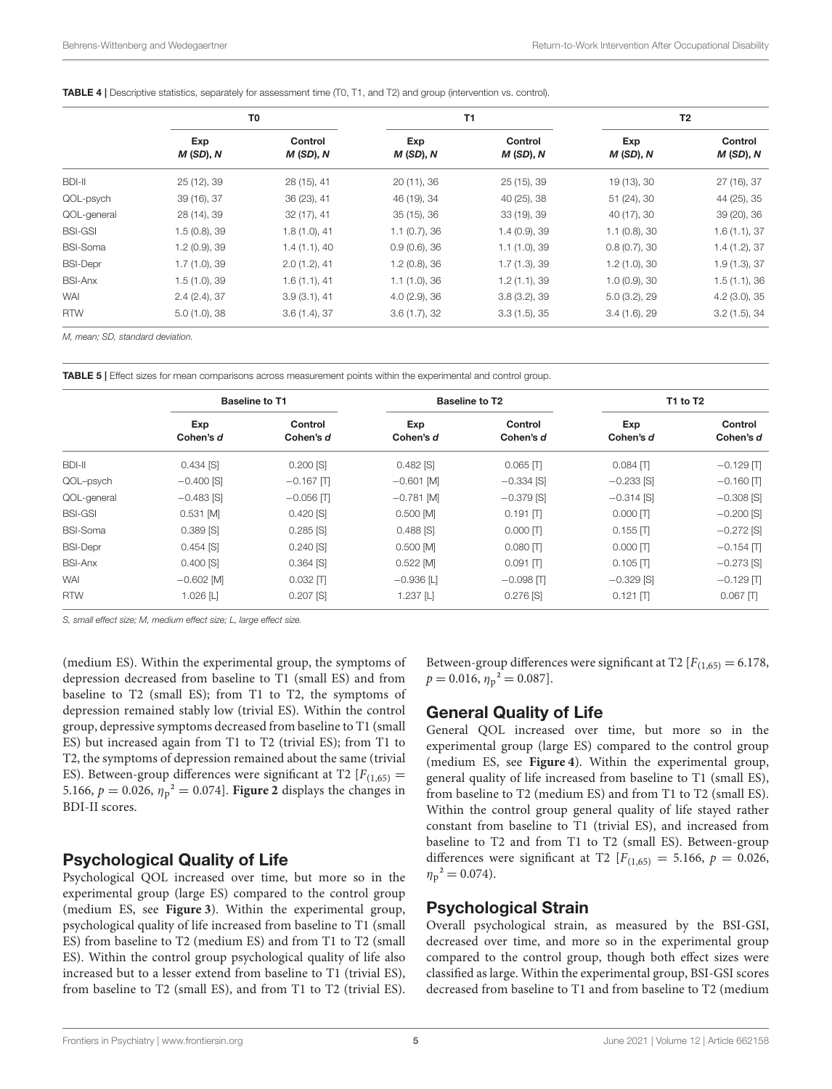|  |  |  |  |  |  | <b>TABLE 4</b>   Descriptive statistics, separately for assessment time (T0, T1, and T2) and group (intervention vs. control). |
|--|--|--|--|--|--|--------------------------------------------------------------------------------------------------------------------------------|
|--|--|--|--|--|--|--------------------------------------------------------------------------------------------------------------------------------|

|                 | T0                   |                     | T1                   |                     | T2                   |                     |
|-----------------|----------------------|---------------------|----------------------|---------------------|----------------------|---------------------|
|                 | Exp<br>$M$ (SD), $N$ | Control<br>M(SD), N | Exp<br>$M(SD)$ , $N$ | Control<br>M(SD), N | Exp<br>$M(SD)$ , $N$ | Control<br>M(SD), N |
| BDI-II          | 25 (12), 39          | 28 (15), 41         | 20 (11), 36          | 25(15), 39          | 19 (13), 30          | 27 (16), 37         |
| QOL-psych       | 39 (16), 37          | 36 (23), 41         | 46 (19), 34          | 40 (25), 38         | 51 (24), 30          | 44 (25), 35         |
| QOL-general     | 28 (14), 39          | 32(17), 41          | $35(15)$ , $36$      | 33 (19), 39         | 40 (17), 30          | 39 (20), 36         |
| <b>BSI-GSI</b>  | 1.5(0.8), 39         | 1.8(1.0), 41        | 1.1(0.7), 36         | 1.4(0.9), 39        | $1.1$ (0.8), 30      | 1.6(1.1), 37        |
| <b>BSI-Soma</b> | 1.2 (0.9), 39        | 1.4(1.1), 40        | $0.9(0.6)$ , 36      | 1.1(1.0), 39        | 0.8(0.7), 30         | 1.4(1.2), 37        |
| <b>BSI-Depr</b> | 1.7(1.0), 39         | 2.0(1.2), 41        | 1.2(0.8), 36         | 1.7(1.3), 39        | 1.2(1.0), 30         | 1.9(1.3), 37        |
| <b>BSI-Anx</b>  | 1.5(1.0), 39         | 1.6(1.1), 41        | 1.1(1.0), 36         | 1.2(1.1), 39        | $1.0(0.9)$ , 30      | 1.5(1.1), 36        |
| <b>WAI</b>      | 2.4(2.4), 37         | 3.9(3.1), 41        | 4.0(2.9), 36         | 3.8(3.2), 39        | 5.0(3.2), 29         | 4.2(3.0), 35        |
| <b>RTW</b>      | 5.0(1.0), 38         | 3.6(1.4), 37        | 3.6(1.7), 32         | 3.3(1.5), 35        | 3.4(1.6), 29         | 3.2(1.5), 34        |

*M, mean; SD, standard deviation.*

TABLE 5 | Effect sizes for mean comparisons across measurement points within the experimental and control group.

|                 | <b>Baseline to T1</b> |                      |                  | <b>Baseline to T2</b> | T1 to T2         |                      |
|-----------------|-----------------------|----------------------|------------------|-----------------------|------------------|----------------------|
|                 | Exp<br>Cohen's d      | Control<br>Cohen's d | Exp<br>Cohen's d | Control<br>Cohen's d  | Exp<br>Cohen's d | Control<br>Cohen's d |
| BDI-II          | $0.434$ [S]           | $0.200$ [S]          | $0.482$ [S]      | $0.065$ $\Pi$         | $0.084$ $\Pi$    | $-0.129$ $\Pi$       |
| QOL-psych       | $-0.400$ [S]          | $-0.167$ $\Pi$       | $-0.601$ [M]     | $-0.334$ [S]          | $-0.233$ [S]     | $-0.160$ $\Pi$       |
| QOL-general     | $-0.483$ [S]          | $-0.056$ $\Pi$       | $-0.781$ [M]     | $-0.379$ [S]          | $-0.314$ [S]     | $-0.308$ [S]         |
| <b>BSI-GSI</b>  | $0.531$ [M]           | $0.420$ [S]          | $0.500$ [M]      | $0.191$ $\Pi$         | $0.000$ $\Pi$    | $-0.200$ [S]         |
| <b>BSI-Soma</b> | $0.389$ [S]           | $0.285$ [S]          | $0.488$ [S]      | $0.000$ $\Pi$         | $0.155$ $\Pi$    | $-0.272$ [S]         |
| <b>BSI-Depr</b> | $0.454$ [S]           | 0.240 [S]            | $0.500$ [M]      | $0.080$ $\Pi$         | $0.000$ $\Pi$    | $-0.154$ $\Pi$       |
| <b>BSI-Anx</b>  | $0.400$ [S]           | $0.364$ [S]          | $0.522$ [M]      | $0.091$ $\Pi$         | $0.105$ $\Pi$    | $-0.273$ [S]         |
| <b>WAI</b>      | $-0.602$ [M]          | $0.032$ $\Pi$        | $-0.936$ [L]     | $-0.098$ $\Pi$        | $-0.329$ [S]     | $-0.129$ $\Pi$       |
| <b>RTW</b>      | $1.026$ [L]           | $0.207$ [S]          | $1.237$ [L]      | $0.276$ [S]           | $0.121$ $\Pi$    | $0.067$ $\Pi$        |

*S, small effect size; M, medium effect size; L, large effect size.*

(medium ES). Within the experimental group, the symptoms of depression decreased from baseline to T1 (small ES) and from baseline to T2 (small ES); from T1 to T2, the symptoms of depression remained stably low (trivial ES). Within the control group, depressive symptoms decreased from baseline to T1 (small ES) but increased again from T1 to T2 (trivial ES); from T1 to T2, the symptoms of depression remained about the same (trivial ES). Between-group differences were significant at T2  $[F(1,65) =$ 5.166,  $p = 0.026$ ,  $\eta_p^2 = 0.074$ . **Figure 2** displays the changes in BDI-II scores.

### Psychological Quality of Life

Psychological QOL increased over time, but more so in the experimental group (large ES) compared to the control group (medium ES, see **Figure 3**). Within the experimental group, psychological quality of life increased from baseline to T1 (small ES) from baseline to T2 (medium ES) and from T1 to T2 (small ES). Within the control group psychological quality of life also increased but to a lesser extend from baseline to T1 (trivial ES), from baseline to T2 (small ES), and from T1 to T2 (trivial ES).

Between-group differences were significant at T2  $[F(1,65) = 6.178,$  $p = 0.016$ ,  $\eta_p^2 = 0.087$ .

# General Quality of Life

General QOL increased over time, but more so in the experimental group (large ES) compared to the control group (medium ES, see **Figure 4**). Within the experimental group, general quality of life increased from baseline to T1 (small ES), from baseline to T2 (medium ES) and from T1 to T2 (small ES). Within the control group general quality of life stayed rather constant from baseline to T1 (trivial ES), and increased from baseline to T2 and from T1 to T2 (small ES). Between-group differences were significant at T2  $[F(1,65)] = 5.166$ ,  $p = 0.026$ ,  $\eta_p^2 = 0.074$ .

### Psychological Strain

Overall psychological strain, as measured by the BSI-GSI, decreased over time, and more so in the experimental group compared to the control group, though both effect sizes were classified as large. Within the experimental group, BSI-GSI scores decreased from baseline to T1 and from baseline to T2 (medium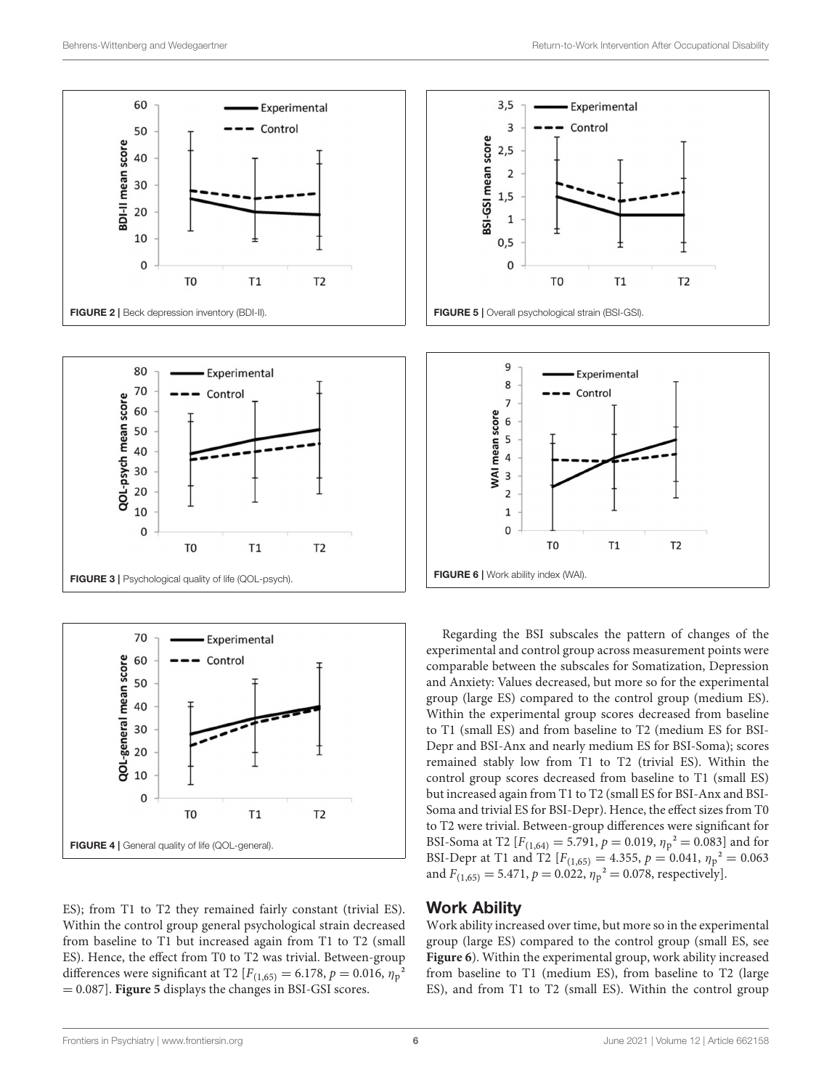





ES); from T1 to T2 they remained fairly constant (trivial ES). Within the control group general psychological strain decreased from baseline to T1 but increased again from T1 to T2 (small ES). Hence, the effect from T0 to T2 was trivial. Between-group differences were significant at T2 [ $F_{(1,65)} = 6.178$ ,  $p = 0.016$ ,  $\eta_p^2$ = 0.087]. **Figure 5** displays the changes in BSI-GSI scores.





Regarding the BSI subscales the pattern of changes of the experimental and control group across measurement points were comparable between the subscales for Somatization, Depression and Anxiety: Values decreased, but more so for the experimental group (large ES) compared to the control group (medium ES). Within the experimental group scores decreased from baseline to T1 (small ES) and from baseline to T2 (medium ES for BSI-Depr and BSI-Anx and nearly medium ES for BSI-Soma); scores remained stably low from T1 to T2 (trivial ES). Within the control group scores decreased from baseline to T1 (small ES) but increased again from T1 to T2 (small ES for BSI-Anx and BSI-Soma and trivial ES for BSI-Depr). Hence, the effect sizes from T0 to T2 were trivial. Between-group differences were significant for BSI-Soma at T2 [ $F_{(1,64)} = 5.791$ ,  $p = 0.019$ ,  $\eta_p^2 = 0.083$ ] and for BSI-Depr at T1 and T2  $[F(1,65) = 4.355, p = 0.041, \eta_p^2 = 0.063]$ and  $F_{(1,65)} = 5.471$ ,  $p = 0.022$ ,  $\eta_p^2 = 0.078$ , respectively].

### Work Ability

Work ability increased over time, but more so in the experimental group (large ES) compared to the control group (small ES, see **Figure 6**). Within the experimental group, work ability increased from baseline to T1 (medium ES), from baseline to T2 (large ES), and from T1 to T2 (small ES). Within the control group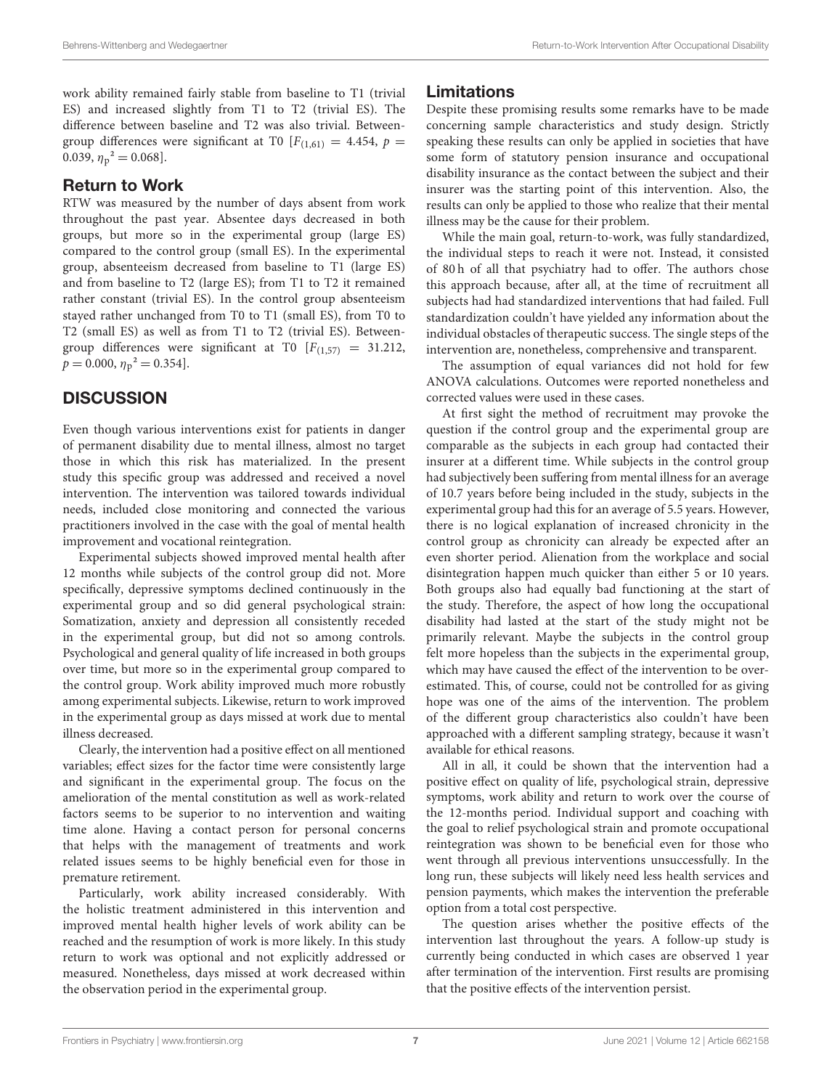work ability remained fairly stable from baseline to T1 (trivial ES) and increased slightly from T1 to T2 (trivial ES). The difference between baseline and T2 was also trivial. Betweengroup differences were significant at T0  $[F(1,61)] = 4.454$ ,  $p =$ 0.039,  $\eta_p^2 = 0.068$ .

## Return to Work

RTW was measured by the number of days absent from work throughout the past year. Absentee days decreased in both groups, but more so in the experimental group (large ES) compared to the control group (small ES). In the experimental group, absenteeism decreased from baseline to T1 (large ES) and from baseline to T2 (large ES); from T1 to T2 it remained rather constant (trivial ES). In the control group absenteeism stayed rather unchanged from T0 to T1 (small ES), from T0 to T2 (small ES) as well as from T1 to T2 (trivial ES). Betweengroup differences were significant at T0  $[F(1,57) = 31.212,$  $p = 0.000, \eta_p^2 = 0.354$ .

# **DISCUSSION**

Even though various interventions exist for patients in danger of permanent disability due to mental illness, almost no target those in which this risk has materialized. In the present study this specific group was addressed and received a novel intervention. The intervention was tailored towards individual needs, included close monitoring and connected the various practitioners involved in the case with the goal of mental health improvement and vocational reintegration.

Experimental subjects showed improved mental health after 12 months while subjects of the control group did not. More specifically, depressive symptoms declined continuously in the experimental group and so did general psychological strain: Somatization, anxiety and depression all consistently receded in the experimental group, but did not so among controls. Psychological and general quality of life increased in both groups over time, but more so in the experimental group compared to the control group. Work ability improved much more robustly among experimental subjects. Likewise, return to work improved in the experimental group as days missed at work due to mental illness decreased.

Clearly, the intervention had a positive effect on all mentioned variables; effect sizes for the factor time were consistently large and significant in the experimental group. The focus on the amelioration of the mental constitution as well as work-related factors seems to be superior to no intervention and waiting time alone. Having a contact person for personal concerns that helps with the management of treatments and work related issues seems to be highly beneficial even for those in premature retirement.

Particularly, work ability increased considerably. With the holistic treatment administered in this intervention and improved mental health higher levels of work ability can be reached and the resumption of work is more likely. In this study return to work was optional and not explicitly addressed or measured. Nonetheless, days missed at work decreased within the observation period in the experimental group.

# Limitations

Despite these promising results some remarks have to be made concerning sample characteristics and study design. Strictly speaking these results can only be applied in societies that have some form of statutory pension insurance and occupational disability insurance as the contact between the subject and their insurer was the starting point of this intervention. Also, the results can only be applied to those who realize that their mental illness may be the cause for their problem.

While the main goal, return-to-work, was fully standardized, the individual steps to reach it were not. Instead, it consisted of 80 h of all that psychiatry had to offer. The authors chose this approach because, after all, at the time of recruitment all subjects had had standardized interventions that had failed. Full standardization couldn't have yielded any information about the individual obstacles of therapeutic success. The single steps of the intervention are, nonetheless, comprehensive and transparent.

The assumption of equal variances did not hold for few ANOVA calculations. Outcomes were reported nonetheless and corrected values were used in these cases.

At first sight the method of recruitment may provoke the question if the control group and the experimental group are comparable as the subjects in each group had contacted their insurer at a different time. While subjects in the control group had subjectively been suffering from mental illness for an average of 10.7 years before being included in the study, subjects in the experimental group had this for an average of 5.5 years. However, there is no logical explanation of increased chronicity in the control group as chronicity can already be expected after an even shorter period. Alienation from the workplace and social disintegration happen much quicker than either 5 or 10 years. Both groups also had equally bad functioning at the start of the study. Therefore, the aspect of how long the occupational disability had lasted at the start of the study might not be primarily relevant. Maybe the subjects in the control group felt more hopeless than the subjects in the experimental group, which may have caused the effect of the intervention to be overestimated. This, of course, could not be controlled for as giving hope was one of the aims of the intervention. The problem of the different group characteristics also couldn't have been approached with a different sampling strategy, because it wasn't available for ethical reasons.

All in all, it could be shown that the intervention had a positive effect on quality of life, psychological strain, depressive symptoms, work ability and return to work over the course of the 12-months period. Individual support and coaching with the goal to relief psychological strain and promote occupational reintegration was shown to be beneficial even for those who went through all previous interventions unsuccessfully. In the long run, these subjects will likely need less health services and pension payments, which makes the intervention the preferable option from a total cost perspective.

The question arises whether the positive effects of the intervention last throughout the years. A follow-up study is currently being conducted in which cases are observed 1 year after termination of the intervention. First results are promising that the positive effects of the intervention persist.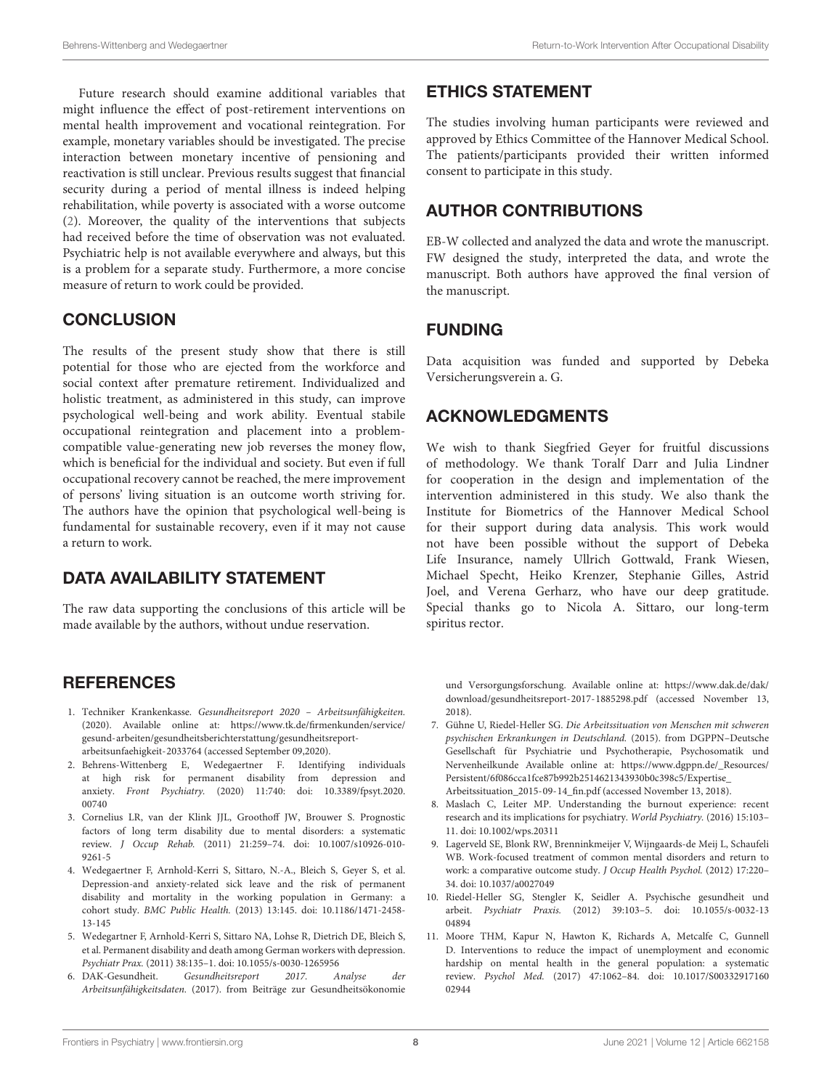Future research should examine additional variables that might influence the effect of post-retirement interventions on mental health improvement and vocational reintegration. For example, monetary variables should be investigated. The precise interaction between monetary incentive of pensioning and reactivation is still unclear. Previous results suggest that financial security during a period of mental illness is indeed helping rehabilitation, while poverty is associated with a worse outcome (2). Moreover, the quality of the interventions that subjects had received before the time of observation was not evaluated. Psychiatric help is not available everywhere and always, but this is a problem for a separate study. Furthermore, a more concise measure of return to work could be provided.

# **CONCLUSION**

The results of the present study show that there is still potential for those who are ejected from the workforce and social context after premature retirement. Individualized and holistic treatment, as administered in this study, can improve psychological well-being and work ability. Eventual stabile occupational reintegration and placement into a problemcompatible value-generating new job reverses the money flow, which is beneficial for the individual and society. But even if full occupational recovery cannot be reached, the mere improvement of persons' living situation is an outcome worth striving for. The authors have the opinion that psychological well-being is fundamental for sustainable recovery, even if it may not cause a return to work.

# DATA AVAILABILITY STATEMENT

The raw data supporting the conclusions of this article will be made available by the authors, without undue reservation.

# **REFERENCES**

- 1. Techniker Krankenkasse. Gesundheitsreport 2020 Arbeitsunfähigkeiten. (2020). Available online at: https://www.tk.de/firmenkunden/service/ gesund-arbeiten/gesundheitsberichterstattung/gesundheitsreportarbeitsunfaehigkeit-2033764 (accessed September 09,2020).
- 2. Behrens-Wittenberg E, Wedegaertner F. Identifying individuals at high risk for permanent disability from depression and anxiety. Front Psychiatry. (2020) 11:740: doi: 10.3389/fpsyt.2020. 00740
- 3. Cornelius LR, van der Klink JJL, Groothoff JW, Brouwer S. Prognostic factors of long term disability due to mental disorders: a systematic review. J Occup Rehab. (2011) 21:259–74. doi: 10.1007/s10926-010- 9261-5
- 4. Wedegaertner F, Arnhold-Kerri S, Sittaro, N.-A., Bleich S, Geyer S, et al. Depression-and anxiety-related sick leave and the risk of permanent disability and mortality in the working population in Germany: a cohort study. BMC Public Health. (2013) 13:145. doi: 10.1186/1471-2458- 13-145
- 5. Wedegartner F, Arnhold-Kerri S, Sittaro NA, Lohse R, Dietrich DE, Bleich S, et al. Permanent disability and death among German workers with depression. Psychiatr Prax. (2011) 38:135–1. doi: 10.1055/s-0030-1265956
- 6. DAK-Gesundheit. Gesundheitsreport 2017. Analyse der Arbeitsunfähigkeitsdaten. (2017). from Beiträge zur Gesundheitsökonomie

# ETHICS STATEMENT

The studies involving human participants were reviewed and approved by Ethics Committee of the Hannover Medical School. The patients/participants provided their written informed consent to participate in this study.

# AUTHOR CONTRIBUTIONS

EB-W collected and analyzed the data and wrote the manuscript. FW designed the study, interpreted the data, and wrote the manuscript. Both authors have approved the final version of the manuscript.

# FUNDING

Data acquisition was funded and supported by Debeka Versicherungsverein a. G.

# ACKNOWLEDGMENTS

We wish to thank Siegfried Geyer for fruitful discussions of methodology. We thank Toralf Darr and Julia Lindner for cooperation in the design and implementation of the intervention administered in this study. We also thank the Institute for Biometrics of the Hannover Medical School for their support during data analysis. This work would not have been possible without the support of Debeka Life Insurance, namely Ullrich Gottwald, Frank Wiesen, Michael Specht, Heiko Krenzer, Stephanie Gilles, Astrid Joel, and Verena Gerharz, who have our deep gratitude. Special thanks go to Nicola A. Sittaro, our long-term spiritus rector.

und Versorgungsforschung. Available online at: https://www.dak.de/dak/ download/gesundheitsreport-2017-1885298.pdf (accessed November 13, 2018).

- 7. Gühne U, Riedel-Heller SG. Die Arbeitssituation von Menschen mit schweren psychischen Erkrankungen in Deutschland. (2015). from DGPPN–Deutsche Gesellschaft für Psychiatrie und Psychotherapie, Psychosomatik und Nervenheilkunde Available online at: https://www.dgppn.de/\_Resources/ Persistent/6f086cca1fce87b992b2514621343930b0c398c5/Expertise\_ Arbeitssituation\_2015-09-14\_fin.pdf (accessed November 13, 2018).
- 8. Maslach C, Leiter MP. Understanding the burnout experience: recent research and its implications for psychiatry. World Psychiatry. (2016) 15:103– 11. doi: 10.1002/wps.20311
- 9. Lagerveld SE, Blonk RW, Brenninkmeijer V, Wijngaards-de Meij L, Schaufeli WB. Work-focused treatment of common mental disorders and return to work: a comparative outcome study. J Occup Health Psychol. (2012) 17:220– 34. doi: 10.1037/a0027049
- 10. Riedel-Heller SG, Stengler K, Seidler A. Psychische gesundheit und arbeit. Psychiatr Praxis. (2012) 39:103–5. doi: 10.1055/s-0032-13 04894
- 11. Moore THM, Kapur N, Hawton K, Richards A, Metcalfe C, Gunnell D. Interventions to reduce the impact of unemployment and economic hardship on mental health in the general population: a systematic review. Psychol Med. (2017) 47:1062–84. doi: 10.1017/S00332917160 02944